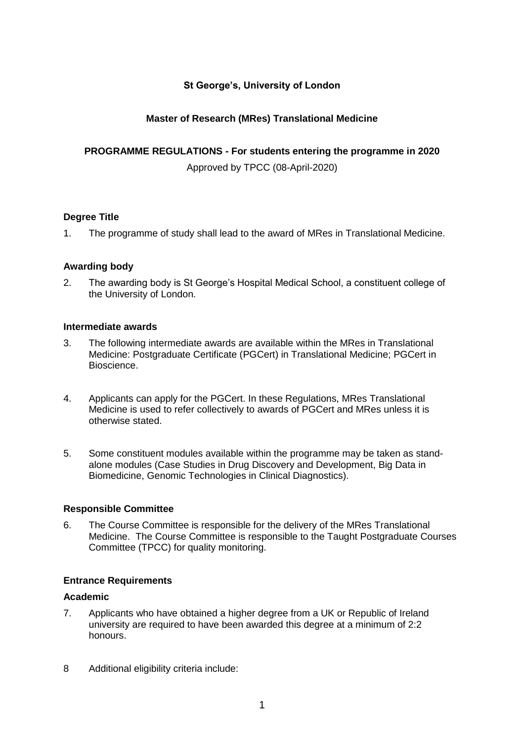# **St George's, University of London**

# **Master of Research (MRes) Translational Medicine**

## **PROGRAMME REGULATIONS - For students entering the programme in 2020**

Approved by TPCC (08-April-2020)

## **Degree Title**

1. The programme of study shall lead to the award of MRes in Translational Medicine.

## **Awarding body**

2. The awarding body is St George's Hospital Medical School, a constituent college of the University of London.

## **Intermediate awards**

- 3. The following intermediate awards are available within the MRes in Translational Medicine: Postgraduate Certificate (PGCert) in Translational Medicine; PGCert in Bioscience.
- 4. Applicants can apply for the PGCert. In these Regulations, MRes Translational Medicine is used to refer collectively to awards of PGCert and MRes unless it is otherwise stated.
- 5. Some constituent modules available within the programme may be taken as standalone modules (Case Studies in Drug Discovery and Development, Big Data in Biomedicine, Genomic Technologies in Clinical Diagnostics).

#### **Responsible Committee**

6. The Course Committee is responsible for the delivery of the MRes Translational Medicine. The Course Committee is responsible to the Taught Postgraduate Courses Committee (TPCC) for quality monitoring.

## **Entrance Requirements**

#### **Academic**

- 7. Applicants who have obtained a higher degree from a UK or Republic of Ireland university are required to have been awarded this degree at a minimum of 2:2 honours.
- 8 Additional eligibility criteria include: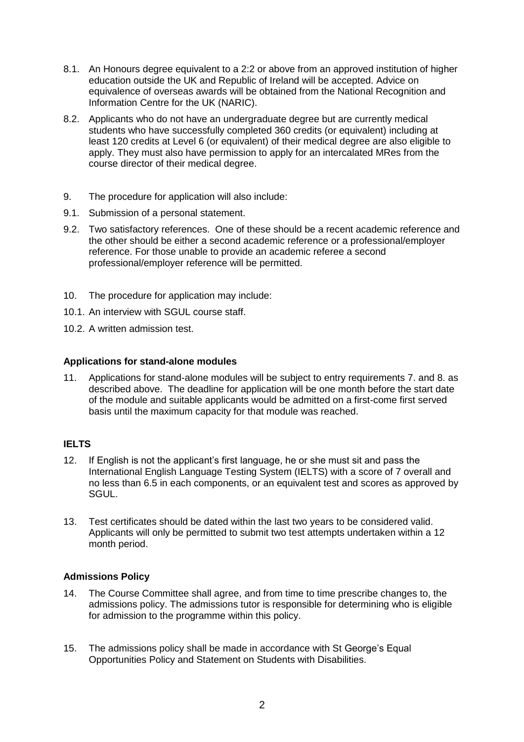- 8.1. An Honours degree equivalent to a 2:2 or above from an approved institution of higher education outside the UK and Republic of Ireland will be accepted. Advice on equivalence of overseas awards will be obtained from the National Recognition and Information Centre for the UK (NARIC).
- 8.2. Applicants who do not have an undergraduate degree but are currently medical students who have successfully completed 360 credits (or equivalent) including at least 120 credits at Level 6 (or equivalent) of their medical degree are also eligible to apply. They must also have permission to apply for an intercalated MRes from the course director of their medical degree.
- 9. The procedure for application will also include:
- 9.1. Submission of a personal statement.
- 9.2. Two satisfactory references. One of these should be a recent academic reference and the other should be either a second academic reference or a professional/employer reference. For those unable to provide an academic referee a second professional/employer reference will be permitted.
- 10. The procedure for application may include:
- 10.1. An interview with SGUL course staff.
- 10.2. A written admission test.

# **Applications for stand-alone modules**

11. Applications for stand-alone modules will be subject to entry requirements 7. and 8. as described above. The deadline for application will be one month before the start date of the module and suitable applicants would be admitted on a first-come first served basis until the maximum capacity for that module was reached.

# **IELTS**

- 12. If English is not the applicant's first language, he or she must sit and pass the International English Language Testing System (IELTS) with a score of 7 overall and no less than 6.5 in each components, or an equivalent test and scores as approved by SGUL.
- 13. Test certificates should be dated within the last two years to be considered valid. Applicants will only be permitted to submit two test attempts undertaken within a 12 month period.

## **Admissions Policy**

- 14. The Course Committee shall agree, and from time to time prescribe changes to, the admissions policy. The admissions tutor is responsible for determining who is eligible for admission to the programme within this policy.
- 15. The admissions policy shall be made in accordance with St George's Equal Opportunities Policy and Statement on Students with Disabilities.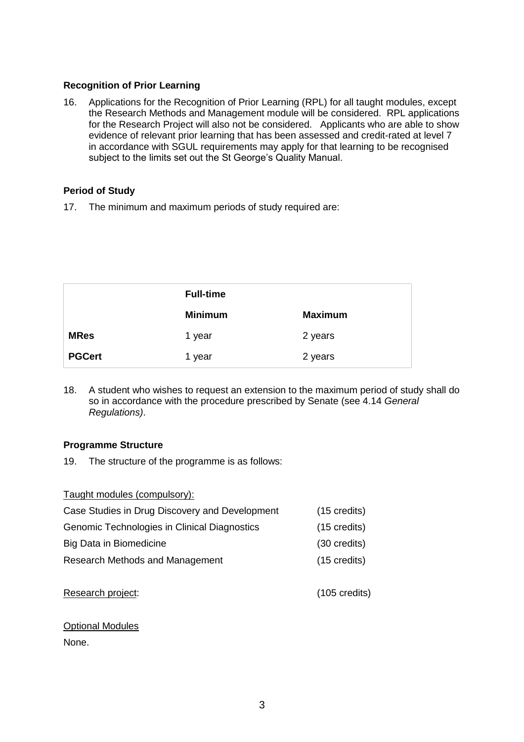# **Recognition of Prior Learning**

16. Applications for the Recognition of Prior Learning (RPL) for all taught modules, except the Research Methods and Management module will be considered. RPL applications for the Research Project will also not be considered. Applicants who are able to show evidence of relevant prior learning that has been assessed and credit-rated at level 7 in accordance with SGUL requirements may apply for that learning to be recognised subject to the limits set out the St George's Quality Manual.

# **Period of Study**

17. The minimum and maximum periods of study required are:

|               | <b>Full-time</b> |                |
|---------------|------------------|----------------|
|               | <b>Minimum</b>   | <b>Maximum</b> |
| <b>MRes</b>   | 1 year           | 2 years        |
| <b>PGCert</b> | 1 year           | 2 years        |

18. A student who wishes to request an extension to the maximum period of study shall do so in accordance with the procedure prescribed by Senate (see 4.14 *General Regulations)*.

## **Programme Structure**

19. The structure of the programme is as follows:

| Taught modules (compulsory):                   |                        |
|------------------------------------------------|------------------------|
| Case Studies in Drug Discovery and Development | $(15 \text{ credits})$ |
| Genomic Technologies in Clinical Diagnostics   | $(15 \text{ credits})$ |
| <b>Big Data in Biomedicine</b>                 | (30 credits)           |
| Research Methods and Management                | $(15 \text{ credits})$ |
|                                                |                        |

| Research project: |
|-------------------|
|-------------------|

# Optional Modules

None.

 $(105 \text{ credits})$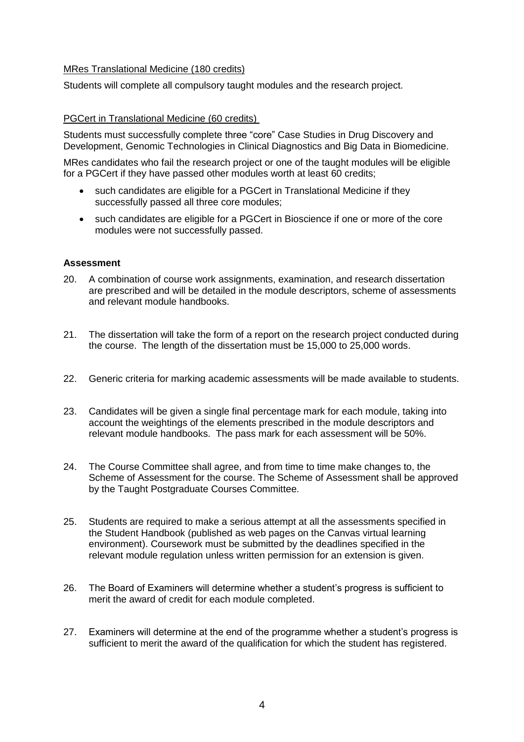## MRes Translational Medicine (180 credits)

Students will complete all compulsory taught modules and the research project.

## PGCert in Translational Medicine (60 credits)

Students must successfully complete three "core" Case Studies in Drug Discovery and Development, Genomic Technologies in Clinical Diagnostics and Big Data in Biomedicine.

MRes candidates who fail the research project or one of the taught modules will be eligible for a PGCert if they have passed other modules worth at least 60 credits;

- such candidates are eligible for a PGCert in Translational Medicine if they successfully passed all three core modules;
- such candidates are eligible for a PGCert in Bioscience if one or more of the core modules were not successfully passed.

## **Assessment**

- 20. A combination of course work assignments, examination, and research dissertation are prescribed and will be detailed in the module descriptors, scheme of assessments and relevant module handbooks.
- 21. The dissertation will take the form of a report on the research project conducted during the course. The length of the dissertation must be 15,000 to 25,000 words.
- 22. Generic criteria for marking academic assessments will be made available to students.
- 23. Candidates will be given a single final percentage mark for each module, taking into account the weightings of the elements prescribed in the module descriptors and relevant module handbooks. The pass mark for each assessment will be 50%.
- 24. The Course Committee shall agree, and from time to time make changes to, the Scheme of Assessment for the course. The Scheme of Assessment shall be approved by the Taught Postgraduate Courses Committee.
- 25. Students are required to make a serious attempt at all the assessments specified in the Student Handbook (published as web pages on the Canvas virtual learning environment). Coursework must be submitted by the deadlines specified in the relevant module regulation unless written permission for an extension is given.
- 26. The Board of Examiners will determine whether a student's progress is sufficient to merit the award of credit for each module completed.
- 27. Examiners will determine at the end of the programme whether a student's progress is sufficient to merit the award of the qualification for which the student has registered.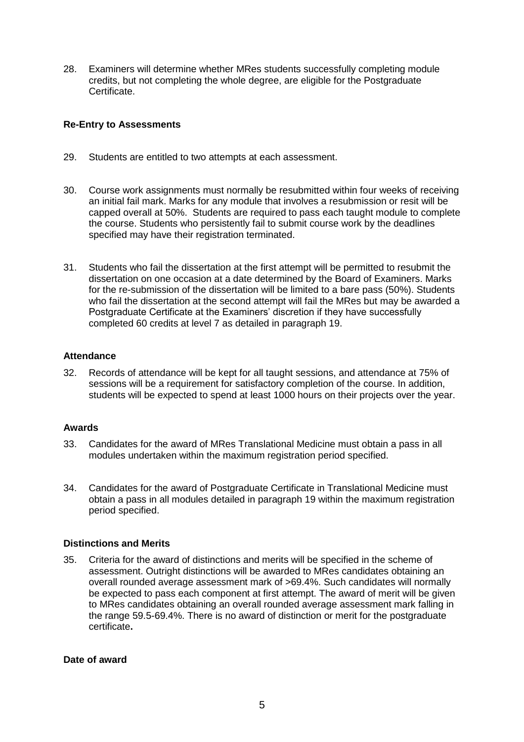28. Examiners will determine whether MRes students successfully completing module credits, but not completing the whole degree, are eligible for the Postgraduate Certificate.

## **Re-Entry to Assessments**

- 29. Students are entitled to two attempts at each assessment.
- 30. Course work assignments must normally be resubmitted within four weeks of receiving an initial fail mark. Marks for any module that involves a resubmission or resit will be capped overall at 50%. Students are required to pass each taught module to complete the course. Students who persistently fail to submit course work by the deadlines specified may have their registration terminated.
- 31. Students who fail the dissertation at the first attempt will be permitted to resubmit the dissertation on one occasion at a date determined by the Board of Examiners. Marks for the re-submission of the dissertation will be limited to a bare pass (50%). Students who fail the dissertation at the second attempt will fail the MRes but may be awarded a Postgraduate Certificate at the Examiners' discretion if they have successfully completed 60 credits at level 7 as detailed in paragraph 19.

#### **Attendance**

32. Records of attendance will be kept for all taught sessions, and attendance at 75% of sessions will be a requirement for satisfactory completion of the course. In addition, students will be expected to spend at least 1000 hours on their projects over the year.

#### **Awards**

- 33. Candidates for the award of MRes Translational Medicine must obtain a pass in all modules undertaken within the maximum registration period specified.
- 34. Candidates for the award of Postgraduate Certificate in Translational Medicine must obtain a pass in all modules detailed in paragraph 19 within the maximum registration period specified.

#### **Distinctions and Merits**

35. Criteria for the award of distinctions and merits will be specified in the scheme of assessment. Outright distinctions will be awarded to MRes candidates obtaining an overall rounded average assessment mark of >69.4%. Such candidates will normally be expected to pass each component at first attempt. The award of merit will be given to MRes candidates obtaining an overall rounded average assessment mark falling in the range 59.5-69.4%. There is no award of distinction or merit for the postgraduate certificate**.** 

#### **Date of award**